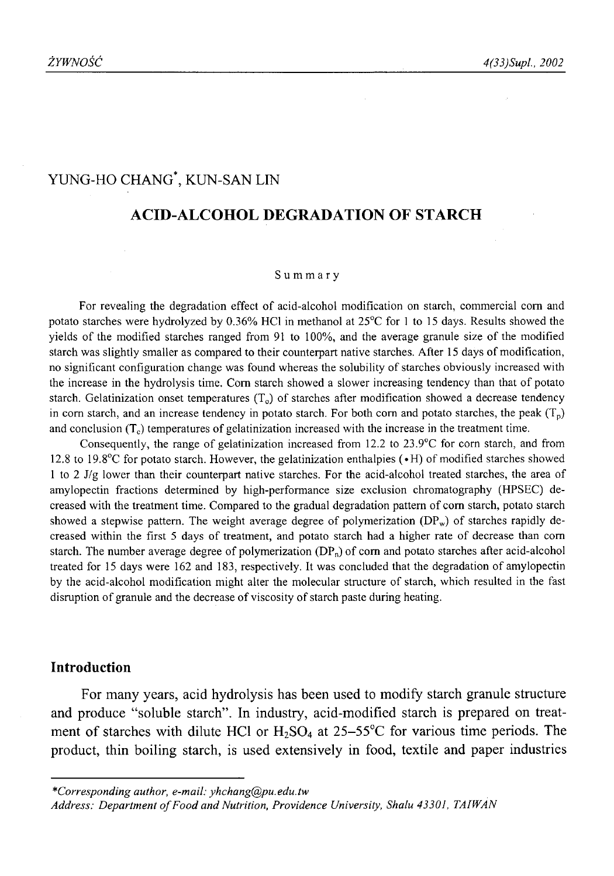# YUNG-HO CHANG\*, KUN-SAN LIN

# **ACID-ALCOHOL DEGRADATION OF STARCH**

#### Summary

For revealing the degradation effect of acid-alcohol modification on starch, commercial com and potato starches were hydrolyzed by 0.36% HC1 in methanol at 25°C for 1 to 15 days. Results showed the yields of the modified starches ranged from 91 to 100%, and the average granule size of the modified starch was slightly smaller as compared to their counterpart native starches. After 15 days of modification, no significant configuration change was found whereas the solubility of starches obviously increased with the increase in the hydrolysis time. Com starch showed a slower increasing tendency than that of potato starch. Gelatinization onset temperatures  $(T<sub>o</sub>)$  of starches after modification showed a decrease tendency in corn starch, and an increase tendency in potato starch. For both corn and potato starches, the peak  $(T_p)$ and conclusion  $(T_c)$  temperatures of gelatinization increased with the increase in the treatment time.

Consequently, the range of gelatinization increased from 12.2 to 23.9°C for com starch, and from 12.8 to 19.8°C for potato starch. However, the gelatinization enthalpies (»H) of modified starches showed 1 to 2 J/g lower than their counterpart native starches. For the acid-alcohol treated starches, the area of amylopectin fractions determined by high-performance size exclusion chromatography (HPSEC) decreased with the treatment time. Compared to the gradual degradation pattern of com starch, potato starch showed a stepwise pattern. The weight average degree of polymerization  $(DP_w)$  of starches rapidly decreased within the first 5 days of treatment, and potato starch had a higher rate of decrease than com starch. The number average degree of polymerization  $(DP_n)$  of corn and potato starches after acid-alcohol treated for 15 days were 162 and 183, respectively. It was concluded that the degradation of amylopectin by the acid-alcohol modification might alter the molecular structure of starch, which resulted in the fast disruption of granule and the decrease of viscosity of starch paste during heating.

#### **Introduction**

For many years, acid hydrolysis has been used to modify starch granule structure and produce "soluble starch". In industry, acid-modified starch is prepared on treatment of starches with dilute HCl or  $H_2SO_4$  at 25-55°C for various time periods. The product, thin boiling starch, is used extensively in food, textile and paper industries

*<sup>\*</sup>Corresponding author, e-mail: [yhchang@pu.edu.tw](mailto:yhchang@pu.edu.tw)*

Address: Department of Food and Nutrition, Providence University, Shalu 43301, TAIWAN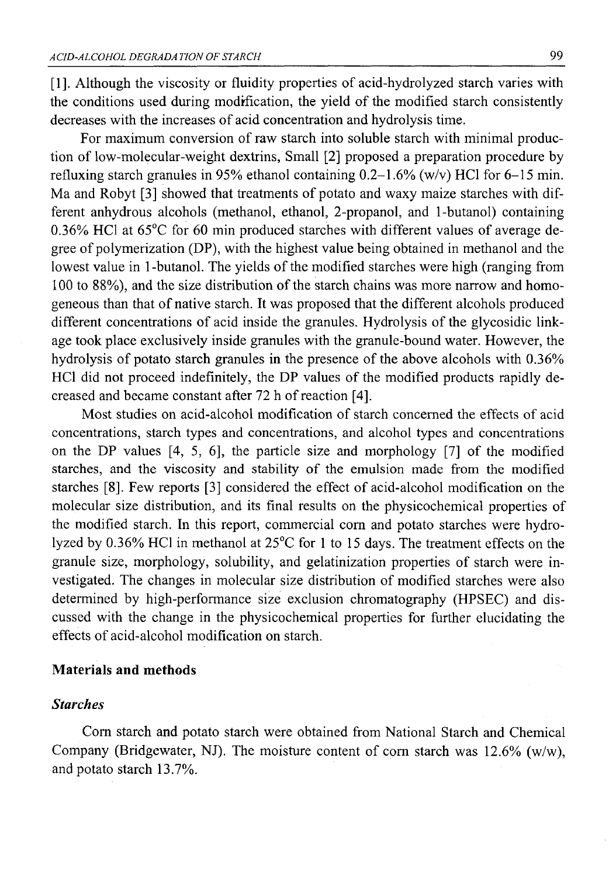[1]. Although the viscosity or fluidity properties of acid-hydrolyzed starch varies with the conditions used during modification, the yield of the modified starch consistently decreases with the increases of acid concentration and hydrolysis time.

For maximum conversion of raw starch into soluble starch with minimal production of low-molecular-weight dextrins, Small [2] proposed a preparation procedure by refluxing starch granules in 95% ethanol containing  $0.2-1.6\%$  (w/v) HCl for 6-15 min. Ma and Robyt [3] showed that treatments of potato and waxy maize starches with different anhydrous alcohols (methanol, ethanol, 2-propanol, and 1-butanol) containing 0.36% HC1 at 65°C for 60 min produced starches with different values of average degree of polymerization (DP), with the highest value being obtained in methanol and the lowest value in 1-butanol. The yields of the modified starches were high (ranging from 100 to 88%), and the size distribution of the starch chains was more narrow and homogeneous than that of native starch. It was proposed that the different alcohols produced different concentrations of acid inside the granules. Hydrolysis of the glycosidic linkage took place exclusively inside granules with the granule-bound water. However, the hydrolysis of potato starch granules in the presence of the above alcohols with 0.36% HC1 did not proceed indefinitely, the DP values of the modified products rapidly decreased and became constant after 72 h of reaction [4],

Most studies on acid-alcohol modification of starch concerned the effeets of acid concentrations, starch types and concentrations, and alcohol types and concentrations on the DP values [4, 5, 6], the particle size and morphology [7] of the modified starches, and the viscosity and stability of the emulsion made from the modified starches [8]. Few reports [3] considered the effect of acid-alcohol modification on the molecular size distribution, and its final results on the physicochemical properties of the modified starch. In this report, commercial com and potato starches were hydrolyzed by 0.36% HC1 in methanol at 25°C for 1 to 15 days. The treatment effects on the granule size, morphology, solubility, and gelatinization properties of starch were investigated. The changes in molecular size distribution of modified starches were also determined by high-performance size exclusion chromatography (HPSEC) and discussed with the change in the physicochemical properties for further elucidating the effects of acid-alcohol modification on starch.

#### **Materials and methods**

## *Starches*

Com starch and potato starch were obtained from National Starch and Chemical Company (Bridgewater, NJ). The moisture content of corn starch was  $12.6\%$  (w/w), and potato starch 13.7%.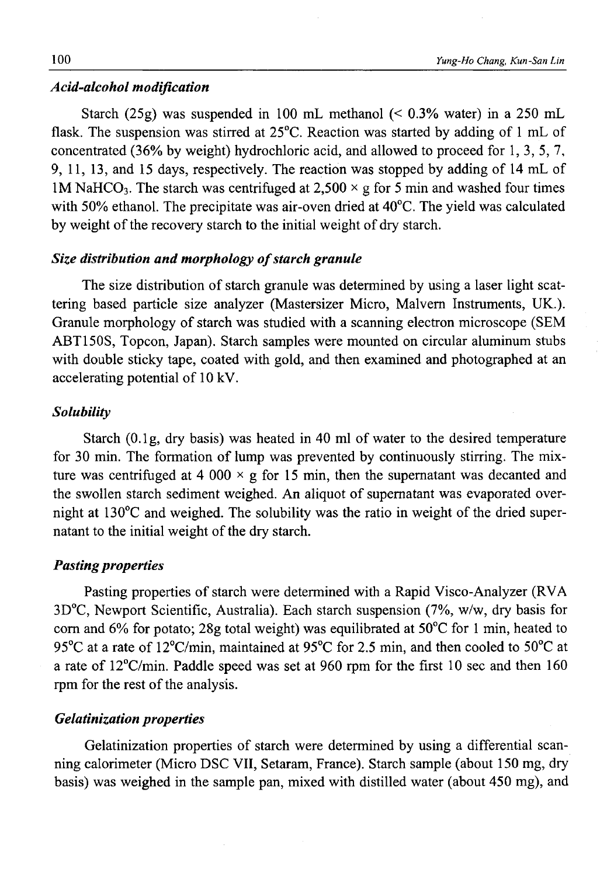#### *Acid-alcohol modification*

Starch (25g) was suspended in 100 mL methanol (< 0.3% water) in a 250 mL flask. The suspension was stirred at 25°C. Reaction was started by adding of 1 mL of concentrated (36% by weight) hydrochloric acid, and allowed to proceed for 1, 3, 5, 7, 9, 11, 13, and 15 days, respectively. The reaction was stopped by adding of 14 mL of 1M NaHCO<sub>3</sub>. The starch was centrifuged at 2,500  $\times$  g for 5 min and washed four times with 50% ethanol. The precipitate was air-oven dried at 40°C. The yield was calculated by weight of the recovery starch to the initial weight of dry starch.

## *Size distribution and morphology of starch granule*

The size distribution of starch granule was determined by using a laser light scattering based particle size analyzer (Mastersizer Micro, Malvern Instruments, UK.). Granule morphology of starch was studied with a scanning electron microscope (SEM ABT150S, Topcon, Japan). Starch samples were mounted on circular aluminum stubs with double sticky tape, coated with gold, and then examined and photographed at an accelerating potential of 10 kV.

# *Solubility*

Starch (O.lg, dry basis) was heated in 40 ml of water to the desired temperature for 30 min. The formation of lump was prevented by continuously stirring. The mixture was centrifuged at 4 000  $\times$  g for 15 min, then the supernatant was decanted and the swollen starch sediment weighed. An aliquot of supernatant was evaporated overnight at 130°C and weighed. The solubility was the ratio in weight of the dried supernatant to the initial weight of the dry starch.

## *Pasting properties*

Pasting properties of starch were determined with a Rapid Visco-Analyzer (RVA 3D°C, Newport Scientific, Australia). Each starch suspension (7%, w/w, dry basis for com and 6% for potato; 28g total weight) was equilibrated at 50°C for 1 min, heated to 95 $\rm{^{\circ}C}$  at a rate of 12 $\rm{^{\circ}C/min}$ , maintained at 95 $\rm{^{\circ}C}$  for 2.5 min, and then cooled to 50 $\rm{^{\circ}C}$  at a rate of  $12^{\circ}$ C/min. Paddle speed was set at 960 rpm for the first 10 sec and then 160 rpm for the rest of the analysis.

## *Gelatinization properties*

Gelatinization properties of starch were determined by using a differential scanning calorimeter (Micro DSC VII, Setaram, France). Starch sample (about 150 mg, dry basis) was weighed in the sample pan, mixed with distilled water (about 450 mg), and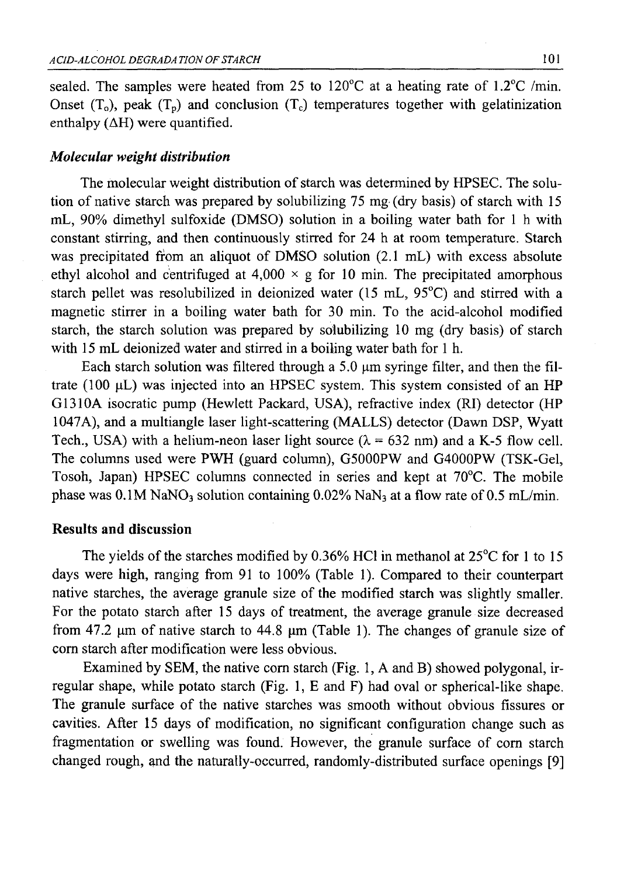sealed. The samples were heated from 25 to 120 $\degree$ C at a heating rate of 1.2 $\degree$ C /min. Onset  $(T_0)$ , peak  $(T_p)$  and conclusion  $(T_c)$  temperatures together with gelatinization enthalpy  $( \Delta H)$  were quantified.

## *Molecular weight distribution*

The molecular weight distribution of starch was determined by HPSEC. The solution of native starch was prepared by solubilizing 75 mg (dry basis) of starch with 15 mL, 90% dimethyl sulfoxide (DMSO) solution in a boiling water bath for 1 h with constant stirring, and then continuously stirred for 24 h at room temperature. Starch was precipitated from an aliquot of DMSO solution (2.1 mL) with excess absolute ethyl alcohol and centrifuged at  $4,000 \times g$  for 10 min. The precipitated amorphous starch pellet was resolubilized in deionized water (15 mL, 95°C) and stirred with a magnetic stirrer in a boiling water bath for 30 min. To the acid-alcohol modified starch, the starch solution was prepared by solubilizing 10 mg (dry basis) of starch with 15 mL deionized water and stirred in a boiling water bath for 1 h.

Each starch solution was filtered through a 5.0  $\mu$ m syringe filter, and then the filtrate (100  $\mu$ L) was injected into an HPSEC system. This system consisted of an HP G1310A isocratic pump (Hewlett Packard, USA), refractive index (RI) detector (HP 1047A), and a multiangle laser light-scattering (MALLS) detector (Dawn DSP, Wyatt Tech., USA) with a helium-neon laser light source  $(\lambda = 632 \text{ nm})$  and a K-5 flow cell. The columns used were PWH (guard column), G5000PW and G4000PW (TSK-Gel, Tosoh, Japan) HPSEC columns connected in series and kept at 70°C. The mobile phase was  $0.1M$  NaNO<sub>3</sub> solution containing  $0.02\%$  NaN<sub>3</sub> at a flow rate of 0.5 mL/min.

## **Results and discussion**

The yields of the starches modified by 0.36% HC1 in methanol at 25°C for 1 to 15 days were high, ranging from 91 to 100% (Table 1). Compared to their counterpart native starches, the average granule size of the modified starch was slightly smaller. For the potato starch after 15 days of treatment, the average granule size decreased from 47.2  $\mu$ m of native starch to 44.8  $\mu$ m (Table 1). The changes of granule size of com starch after modification were less obvious.

Examined by SEM, the native com starch (Fig. 1, A and B) showed polygonal, irregular shape, while potato starch (Fig. 1, E and F) had oval or spherical-like shape. The granule surface of the native starches was smooth without obvious fissures or cavities. After 15 days of modification, no significant configuration change such as fragmentation or swelling was found. However, the granule surface of corn starch changed rough, and the naturally-occurred, randomly-distributed surface openings [9]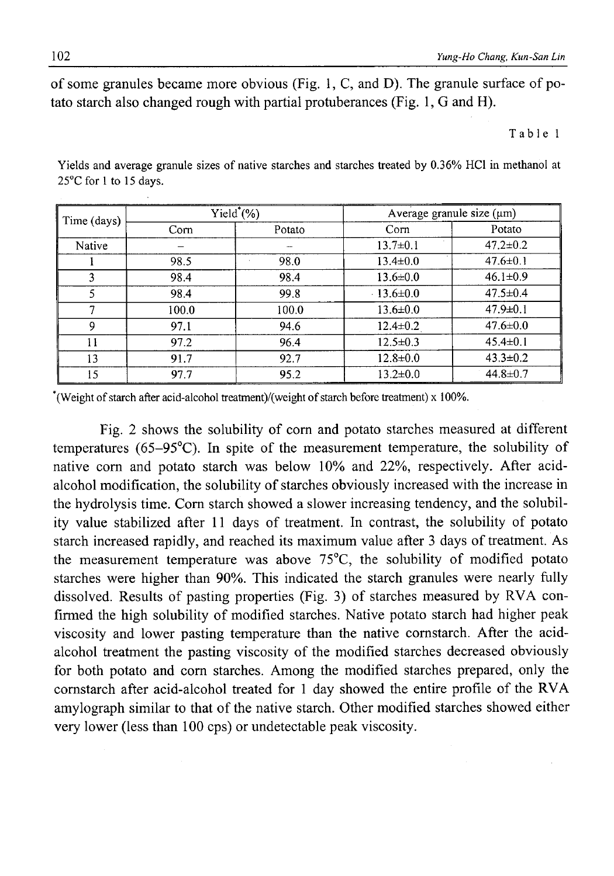of some granules became more obvious (Fig. 1, C, and D). The granule surface of potato starch also changed rough with partial protuberances (Fig. 1, G and H).

#### Table 1

Yields and average granule sizes of native starches and starches treated by 0.36% HC1 in methanol at 25°C for 1 to 15 days.

| Time (days) | $Yield^*(\%)$ |        | Average granule size $(\mu m)$ |                |
|-------------|---------------|--------|--------------------------------|----------------|
|             | Corn          | Potato | Corn                           | Potato         |
| Native      |               |        | $13.7 \pm 0.1$                 | $47.2 \pm 0.2$ |
|             | 98.5          | 98.0   | $13.4 \pm 0.0$                 | $47.6 \pm 0.1$ |
| 3           | 98.4          | 98.4   | $13.6 \pm 0.0$                 | $46.1 \pm 0.9$ |
|             | 98.4          | 99.8   | $13.6 \pm 0.0$                 | $47.5 \pm 0.4$ |
|             | 100.0         | 100.0  | $13.6 \pm 0.0$                 | $47.9 \pm 0.1$ |
| 9           | 97.1          | 94.6   | $12.4 \pm 0.2$                 | $47.6 \pm 0.0$ |
| 11          | 97.2          | 96.4   | $12.5 \pm 0.3$                 | $45.4 \pm 0.1$ |
| 13          | 91.7          | 92.7   | $12.8 \pm 0.0$                 | $43.3 \pm 0.2$ |
| 15          | 97.7          | 95.2   | $13.2 \pm 0.0$                 | $44.8 \pm 0.7$ |

\*(Weight of starch after acid-alcohol treatment)/(weight of starch before treatment) x 100%.

Fig. 2 shows the solubility of com and potato starches measured at different temperatures (65-95°C). In spite of the measurement temperature, the solubility of native com and potato starch was below 10% and 22%, respectively. After acidalcohol modification, the solubility of starches obviously increased with the increase in the hydrolysis time. Com starch showed a slower increasing tendency, and the solubility value stabilized after 11 days of treatment. In contrast, the solubility of potato starch increased rapidly, and reached its maximum value after 3 days of treatment. As the measurement temperature was above 75°C, the solubility of modified potato starches were higher than 90%. This indicated the starch granules were nearly fully dissolved. Results of pasting properties (Fig. 3) of starches measured by RVA confirmed the high solubility of modified starches. Native potato starch had higher peak viscosity and lower pasting temperature than the native cornstarch. After the acidalcohol treatment the pasting viscosity of the modified starches decreased obviously for both potato and com starches. Among the modified starches prepared, only the cornstarch after acid-alcohol treated for 1 day showed the entire profile of the RVA amylograph similar to that of the native starch. Other modified starches showed either very lower (less than 100 cps) or undetectable peak viscosity.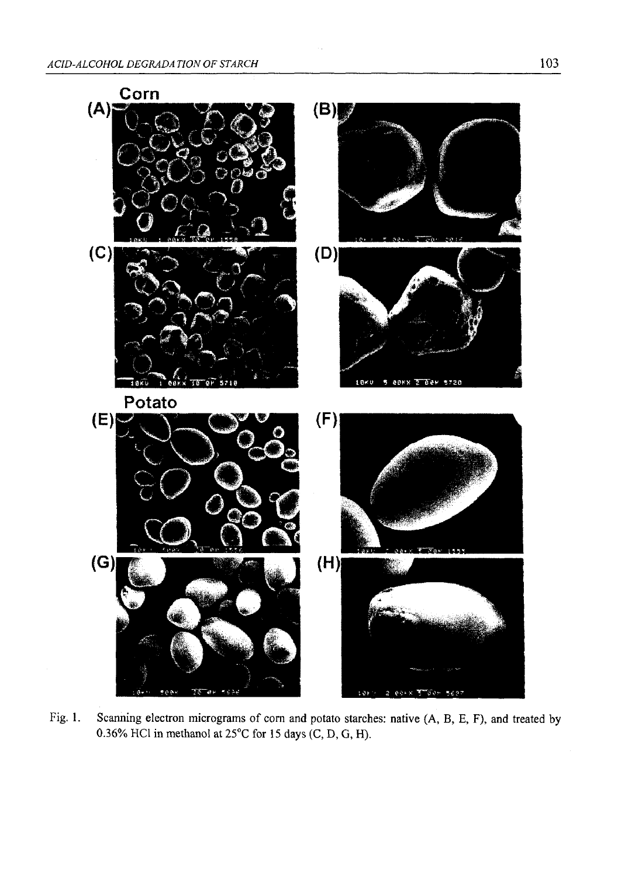

Fig. 1. Scanning electron micrograms of corn and potato starches: native (A, B, E, F), and treated by 0.36% HC1 in methanol at 25°C for 15 days (C, D, G, H).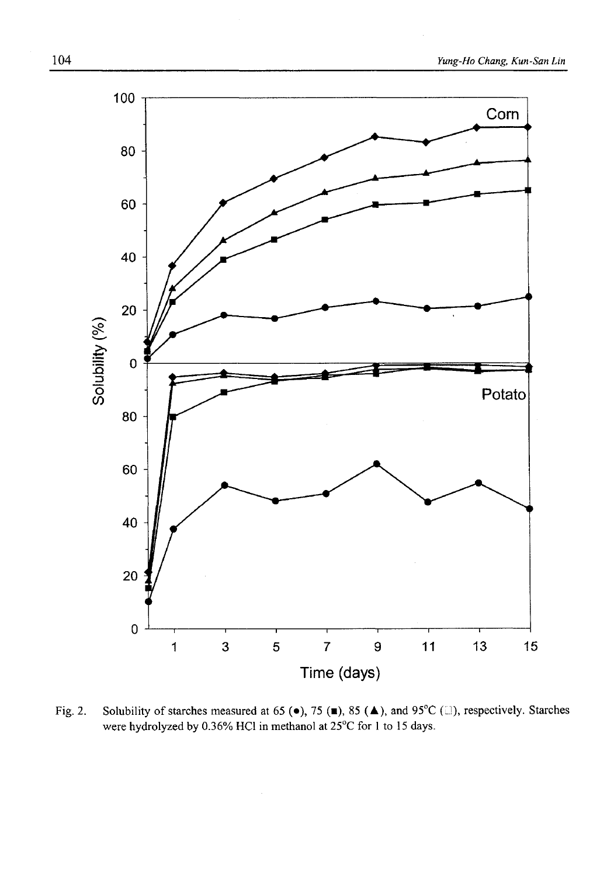

Fig. 2. Solubility of starches measured at 65 ( $\bullet$ ), 75 (■), 85 ( $\blacktriangle$ ), and 95°C (□), respectively. Starches were hydrolyzed by 0.36% HC1 in methanol at 25°C for 1 to 15 days.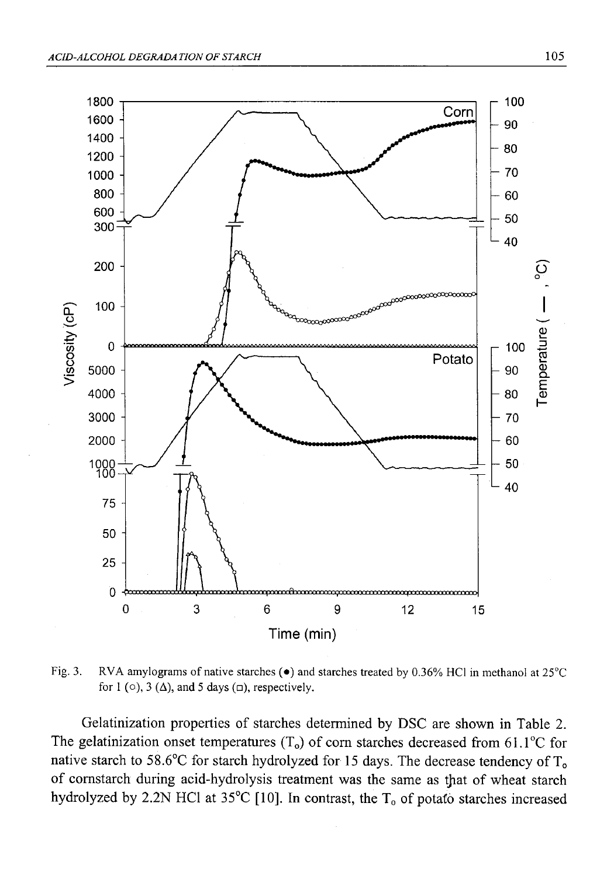

Fig. 3. RVA amylograms of native starches  $\bullet$  and starches treated by 0.36% HCl in methanol at 25°C for 1 ( $\circ$ ), 3 ( $\Delta$ ), and 5 days ( $\Box$ ), respectively.

Gelatinization properties of starches determined by DSC are shown in Table 2. The gelatinization onset temperatures  $(T_0)$  of corn starches decreased from 61.1<sup>o</sup>C for native starch to 58.6°C for starch hydrolyzed for 15 days. The decrease tendency of  $T_0$ of cornstarch during acid-hydrolysis treatment was the same as that of wheat starch hydrolyzed by 2.2N HCl at 35°C [10]. In contrast, the  $T_0$  of potato starches increased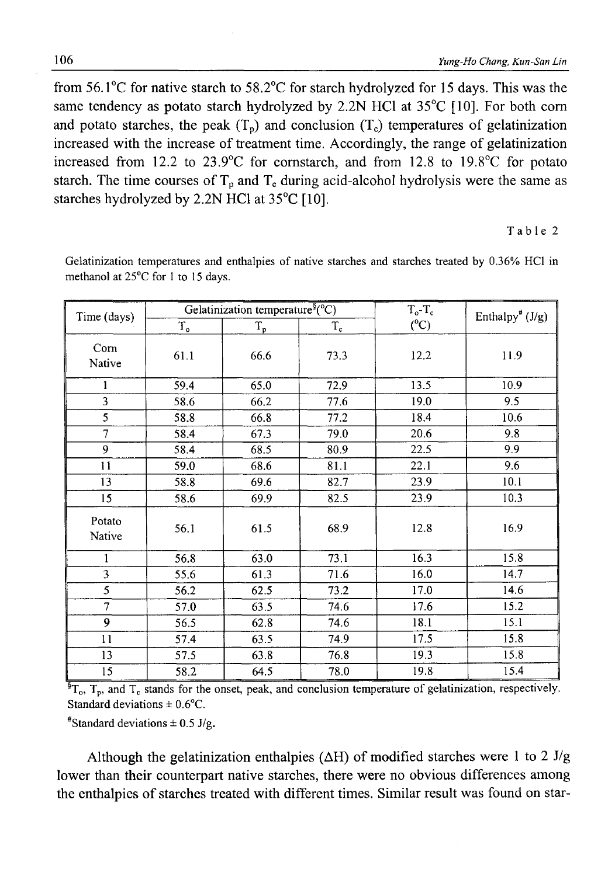from 56.1°C for native starch to 58.2°C for starch hydrolyzed for 15 days. This was the same tendency as potato starch hydrolyzed by 2.2N HCl at 35<sup>°</sup>C [10]. For both corn and potato starches, the peak  $(T_p)$  and conclusion  $(T_c)$  temperatures of gelatinization increased with the increase of treatment time. Accordingly, the range of gelatinization increased from 12.2 to 23.9°C for cornstarch, and from 12.8 to 19.8°C for potato starch. The time courses of  $T_p$  and  $T_c$  during acid-alcohol hydrolysis were the same as starches hydrolyzed by 2.2N HC1 at 35°C [10].

#### Table 2

Time (days) Gelatinization temperature<sup>§</sup>(°C)  $T_o$ -T<sub>c</sub>  $T_o$  Enthalpy<sup>#</sup> (J/g)  $T_o$   $T_p$   $T_c$   $C$ Com Native 61.1 66.6 73.3 12.2 11.9  $1 \t 59.4 \t 65.0 \t 72.9 \t 13.5 \t 10.9$ 3 58.6 66.2 77.6 19.0 9.5 5 | 58.8 | 66.8 | 77.2 | 18.4 | 10.6 7 58.4 67.3 79.0 20.6 9.8 9 | 58.4 | 68.5 | 80.9 | 22.5 | 9.9 11 | 59.0 | 68.6 | 81.1 | 22.1 | 9.6 13 | 58.8 | 69.6 | 82.7 | 23.9 | 10.1 15 58.6 69.9 82.5 23.9 10.3 Potato Native 56.1 61.5 68.9 12.8 16.9 1 56.8 63.0 73.1 16.3 15.8 3 55.6 61.3 71.6 16.0 14.7 5 56.2 62.5 73.2 17.0 14.6 7 57.0 63.5 74.6 17.6 15.2 9 | 56.5 | 62.8 | 74.6 | 18.1 | 15.1 11 57.4 63.5 74.9 17.5 15.8 13 | 57.5 | 63.8 | 76.8 | 19.3 | 15.8 15 58.2 64.5 78.0 19.8 15.4

Gelatinization temperatures and enthalpies of native starches and starches treated by 0.36% HC1 in methanol at 25°C for 1 to 15 days.

 ${}^{\$T}T_{p}$ ,  $T_{p}$ , and  $T_{c}$  stands for the onset, peak, and conclusion temperature of gelatinization, respectively. Standard deviations  $\pm 0.6$ °C.

 $*$ Standard deviations  $\pm$  0.5 J/g.

Although the gelatinization enthalpies ( $\Delta H$ ) of modified starches were 1 to 2 J/g lower than their counterpart native starches, there were no obvious differences among the enthalpies of starches treated with different times. Similar result was found on star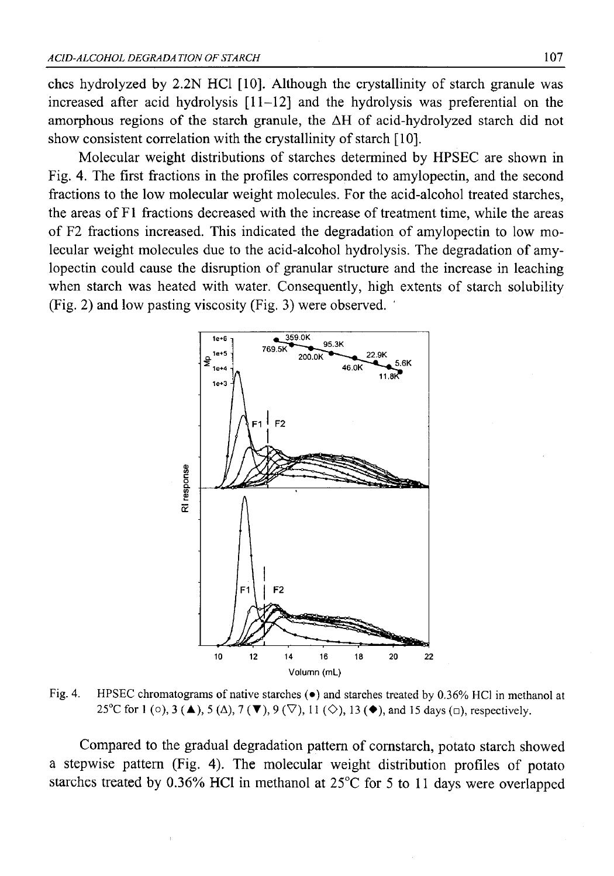ches hydrolyzed by 2.2N HC1 [10]. Although the crystallinity of starch granule was increased after acid hydrolysis [11-12] and the hydrolysis was preferential on the amorphous regions of the starch granule, the AH of acid-hydrolyzed starch did not show consistent correlation with the crystallinity of starch [10].

Molecular weight distributions of starches determined by HPSEC are shown in Fig. 4. The first fractions in the profiles corresponded to amylopectin, and the second fractions to the low molecular weight molecules. For the acid-alcohol treated starches, the areas of F1 fractions decreased with the increase of treatment time, while the areas of F2 fractions increased. This indicated the degradation of amylopectin to low molecular weight molecules due to the acid-alcohol hydrolysis. The degradation of amylopectin could cause the disruption of granular structure and the increase in leaching when starch was heated with water. Consequently, high extents of starch solubility (Fig. 2) and low pasting viscosity (Fig. 3) were observed.



Fig. 4. HPSEC chromatograms of native starches ( $\bullet$ ) and starches treated by 0.36% HCl in methanol at 25<sup>o</sup>C for 1 (o), 3 **(** $\blacktriangle$ ), 5 ( $\triangle$ ), 7 **(** $\nabla$ ), 9 ( $\triangledown$ ), 11 ( $\diamond$ ), 13 ( $\blacktriangle$ ), and 15 days ( $\Box$ ), respectively.

Compared to the gradual degradation pattern of cornstarch, potato starch showed a stepwise pattern (Fig. 4). The molecular weight distribution profiles of potato starches treated by 0.36% HC1 in methanol at 25°C for 5 to 11 days were overlapped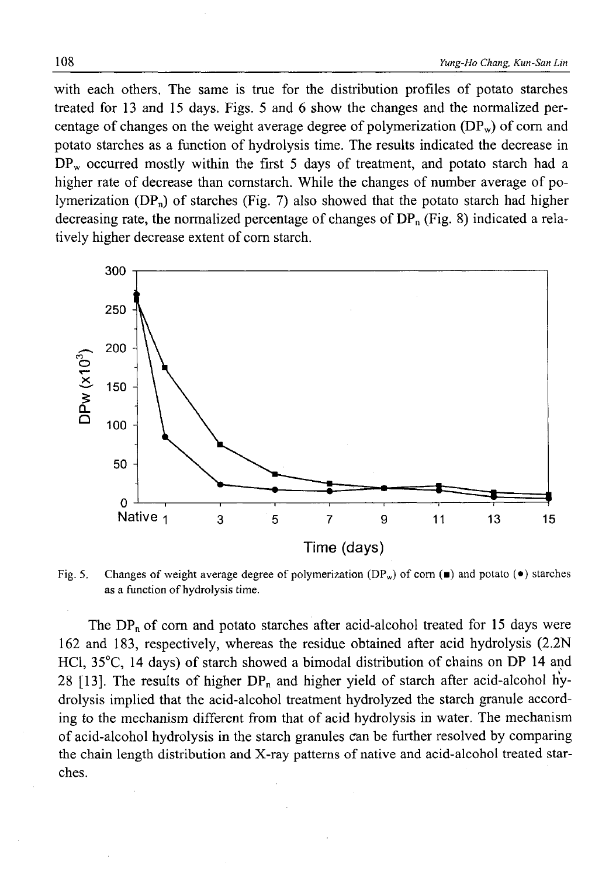with each others. The same is true for the distribution profiles of potato starches treated for 13 and 15 days. Figs. 5 and 6 show the changes and the normalized percentage of changes on the weight average degree of polymerization  $(DP_w)$  of corn and potato starches as a function of hydrolysis time. The results indicated the decrease in  $DP_w$  occurred mostly within the first 5 days of treatment, and potato starch had a higher rate of decrease than cornstarch. While the changes of number average of polymerization  $(DP_n)$  of starches (Fig. 7) also showed that the potato starch had higher decreasing rate, the normalized percentage of changes of  $DP_n$  (Fig. 8) indicated a relatively higher decrease extent of com starch.



Fig. 5. Changes of weight average degree of polymerization (DP<sub>w</sub>) of corn ( $\blacksquare$ ) and potato ( $\bullet$ ) starches as a function of hydrolysis time.

The  $DP_n$  of corn and potato starches after acid-alcohol treated for 15 days were 162 and 183, respectively, whereas the residue obtained after acid hydrolysis (2.2N HC1, 35°C, 14 days) of starch showed a bimodal distribution of chains on DP 14 and 28 [13]. The results of higher  $DP_n$  and higher yield of starch after acid-alcohol hydrolysis implied that the acid-alcohol treatment hydrolyzed the starch granule according to the mechanism different from that of acid hydrolysis in water. The mechanism of acid-alcohol hydrolysis in the starch granules can be further resolved by comparing the chain length distribution and X-ray patterns of native and acid-alcohol treated starches.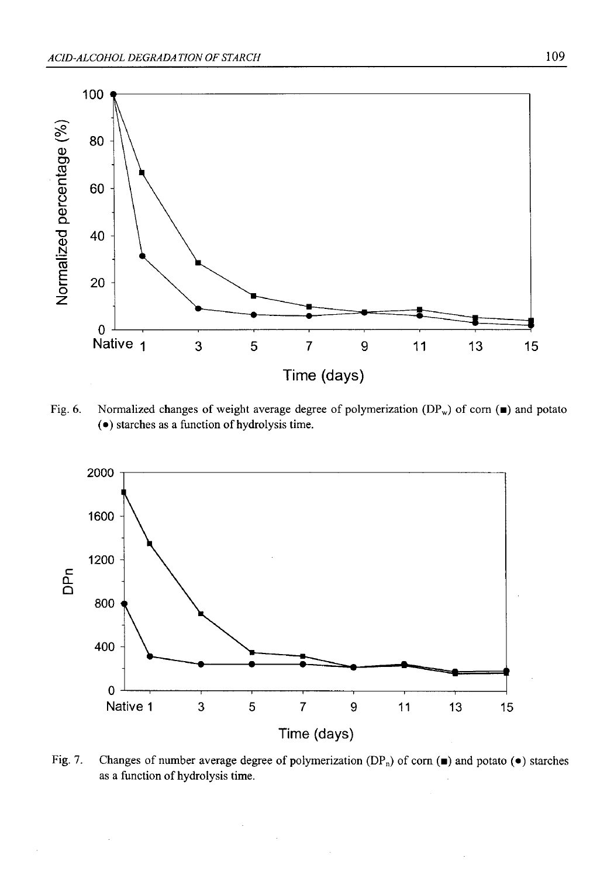

Fig. 6. Normalized changes of weight average degree of polymerization  $(DP_w)$  of corn ( $\blacksquare$ ) and potato (•) starches as a function of hydrolysis time.



Fig. 7. Changes of number average degree of polymerization (DP<sub>n</sub>) of corn ( $\blacksquare$ ) and potato ( $\bullet$ ) starches as a function of hydrolysis time.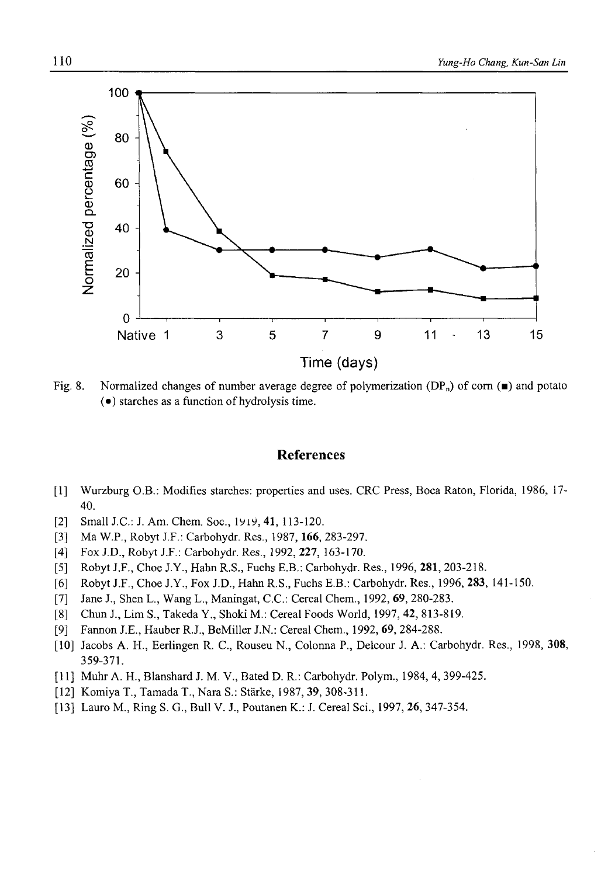Fig. 8. Normalized changes of number average degree of polymerization  $(DP_n)$  of corn  $(\blacksquare)$  and potato (•) starches as a function of hydrolysis time.

## **References**

- [1] Wurzburg O.B.: Modifies starches: properties and uses. CRC Press, Boca Raton, Florida, 1986, 17- 40.
- [2] Small J.C.: J. Am. Chem. Soc., 19i9, **41,** 113-120.
- [3] Ma W.P., Robyt J.F.: Carbohydr. Res., 1987,**166,** 283-297.
- [4] Fox J.D., Robyt J.F.: Carbohydr. Res., 1992, **227,** 163-170.
- [5] Robyt J.F., Choe J.Y., Hahn R.S., Fuchs E.B.: Carbohydr. Res., 1996, **281,** 203-218.
- [6] Robyt J.F., Choe J.Y., Fox J.D., Hahn R.S., Fuchs E.B.: Carbohydr. Res., 1996, **283,** 141-150.
- [7] Jane J., Shen L., Wang L., Maningat, C.C.: Cereal Chem., 1992, **69,** 280-283.
- [8] Chun J., Lim S., Takeda Y., Shoki M.: Cereal Foods World, 1997, 42, 813-819.
- [9] Fannon J.E., Hauber R.J., BeMiller J.N.: Cereal Chem., 1992, **69,** 284-288.
- [10] Jacobs A. H., Eerlingen R. C., Rouseu N., Colonna P., Delcour J. A.: Carbohydr. Res., 1998, **308,** 359-371.
- [11] Muhr A. H., Blanshard J. M. V., Bated D. R.: Carbohydr. Polym., 1984, 4, 399-425.
- [12] Komiya T., TamadaT., Nara S.: Starke, 1987, **39,** 308-311.
- [13] Lauro M., Ring S. G., Bull V. J., Poutanen K.: J. Cereal Sci., 1997, **26,** 347-354.